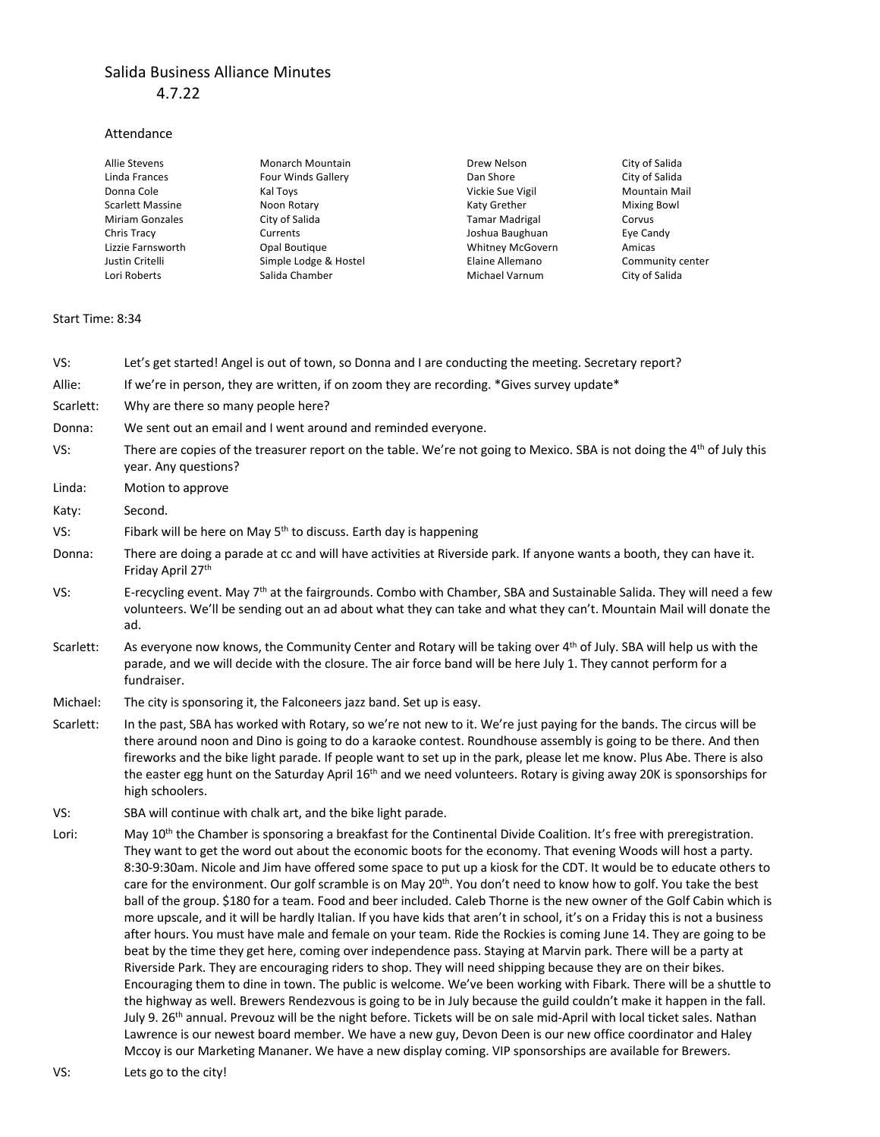## Salida Business Alliance Minutes 4.7.22

## Attendance

| Allie Stevens           | Monarch Mountain          | Drew Nelson             | City of Salida       |
|-------------------------|---------------------------|-------------------------|----------------------|
| Linda Frances           | <b>Four Winds Gallery</b> | Dan Shore               | City of Salida       |
| Donna Cole              | Kal Toys                  | Vickie Sue Vigil        | <b>Mountain Mail</b> |
| <b>Scarlett Massine</b> | Noon Rotary               | Katy Grether            | <b>Mixing Bowl</b>   |
| <b>Miriam Gonzales</b>  | City of Salida            | <b>Tamar Madrigal</b>   | Corvus               |
| Chris Tracy             | Currents                  | Joshua Baughuan         | Eye Candy            |
| Lizzie Farnsworth       | Opal Boutique             | <b>Whitney McGovern</b> | Amicas               |
| Justin Critelli         | Simple Lodge & Hostel     | Elaine Allemano         | Community center     |
| Lori Roberts            | Salida Chamber            | Michael Varnum          | City of Salida       |

## Start Time: 8:34

| VS:       | Let's get started! Angel is out of town, so Donna and I are conducting the meeting. Secretary report?                                                                                                                                                                                                                                                                                                                                                                                                                                                                                                                                                                                                                                                                                                                                                                                                                                                                                                                                                                                                                                                                                                                                                                                                                                                                                                                                                                                                                                                                                                                                                                                                                                           |
|-----------|-------------------------------------------------------------------------------------------------------------------------------------------------------------------------------------------------------------------------------------------------------------------------------------------------------------------------------------------------------------------------------------------------------------------------------------------------------------------------------------------------------------------------------------------------------------------------------------------------------------------------------------------------------------------------------------------------------------------------------------------------------------------------------------------------------------------------------------------------------------------------------------------------------------------------------------------------------------------------------------------------------------------------------------------------------------------------------------------------------------------------------------------------------------------------------------------------------------------------------------------------------------------------------------------------------------------------------------------------------------------------------------------------------------------------------------------------------------------------------------------------------------------------------------------------------------------------------------------------------------------------------------------------------------------------------------------------------------------------------------------------|
| Allie:    | If we're in person, they are written, if on zoom they are recording. *Gives survey update*                                                                                                                                                                                                                                                                                                                                                                                                                                                                                                                                                                                                                                                                                                                                                                                                                                                                                                                                                                                                                                                                                                                                                                                                                                                                                                                                                                                                                                                                                                                                                                                                                                                      |
| Scarlett: | Why are there so many people here?                                                                                                                                                                                                                                                                                                                                                                                                                                                                                                                                                                                                                                                                                                                                                                                                                                                                                                                                                                                                                                                                                                                                                                                                                                                                                                                                                                                                                                                                                                                                                                                                                                                                                                              |
| Donna:    | We sent out an email and I went around and reminded everyone.                                                                                                                                                                                                                                                                                                                                                                                                                                                                                                                                                                                                                                                                                                                                                                                                                                                                                                                                                                                                                                                                                                                                                                                                                                                                                                                                                                                                                                                                                                                                                                                                                                                                                   |
| VS:       | There are copies of the treasurer report on the table. We're not going to Mexico. SBA is not doing the 4th of July this<br>year. Any questions?                                                                                                                                                                                                                                                                                                                                                                                                                                                                                                                                                                                                                                                                                                                                                                                                                                                                                                                                                                                                                                                                                                                                                                                                                                                                                                                                                                                                                                                                                                                                                                                                 |
| Linda:    | Motion to approve                                                                                                                                                                                                                                                                                                                                                                                                                                                                                                                                                                                                                                                                                                                                                                                                                                                                                                                                                                                                                                                                                                                                                                                                                                                                                                                                                                                                                                                                                                                                                                                                                                                                                                                               |
| Katy:     | Second.                                                                                                                                                                                                                                                                                                                                                                                                                                                                                                                                                                                                                                                                                                                                                                                                                                                                                                                                                                                                                                                                                                                                                                                                                                                                                                                                                                                                                                                                                                                                                                                                                                                                                                                                         |
| VS:       | Fibark will be here on May 5 <sup>th</sup> to discuss. Earth day is happening                                                                                                                                                                                                                                                                                                                                                                                                                                                                                                                                                                                                                                                                                                                                                                                                                                                                                                                                                                                                                                                                                                                                                                                                                                                                                                                                                                                                                                                                                                                                                                                                                                                                   |
| Donna:    | There are doing a parade at cc and will have activities at Riverside park. If anyone wants a booth, they can have it.<br>Friday April 27th                                                                                                                                                                                                                                                                                                                                                                                                                                                                                                                                                                                                                                                                                                                                                                                                                                                                                                                                                                                                                                                                                                                                                                                                                                                                                                                                                                                                                                                                                                                                                                                                      |
| VS:       | E-recycling event. May 7 <sup>th</sup> at the fairgrounds. Combo with Chamber, SBA and Sustainable Salida. They will need a few<br>volunteers. We'll be sending out an ad about what they can take and what they can't. Mountain Mail will donate the<br>ad.                                                                                                                                                                                                                                                                                                                                                                                                                                                                                                                                                                                                                                                                                                                                                                                                                                                                                                                                                                                                                                                                                                                                                                                                                                                                                                                                                                                                                                                                                    |
| Scarlett: | As everyone now knows, the Community Center and Rotary will be taking over 4th of July. SBA will help us with the<br>parade, and we will decide with the closure. The air force band will be here July 1. They cannot perform for a<br>fundraiser.                                                                                                                                                                                                                                                                                                                                                                                                                                                                                                                                                                                                                                                                                                                                                                                                                                                                                                                                                                                                                                                                                                                                                                                                                                                                                                                                                                                                                                                                                              |
| Michael:  | The city is sponsoring it, the Falconeers jazz band. Set up is easy.                                                                                                                                                                                                                                                                                                                                                                                                                                                                                                                                                                                                                                                                                                                                                                                                                                                                                                                                                                                                                                                                                                                                                                                                                                                                                                                                                                                                                                                                                                                                                                                                                                                                            |
| Scarlett: | In the past, SBA has worked with Rotary, so we're not new to it. We're just paying for the bands. The circus will be<br>there around noon and Dino is going to do a karaoke contest. Roundhouse assembly is going to be there. And then<br>fireworks and the bike light parade. If people want to set up in the park, please let me know. Plus Abe. There is also<br>the easter egg hunt on the Saturday April 16 <sup>th</sup> and we need volunteers. Rotary is giving away 20K is sponsorships for<br>high schoolers.                                                                                                                                                                                                                                                                                                                                                                                                                                                                                                                                                                                                                                                                                                                                                                                                                                                                                                                                                                                                                                                                                                                                                                                                                        |
| VS:       | SBA will continue with chalk art, and the bike light parade.                                                                                                                                                                                                                                                                                                                                                                                                                                                                                                                                                                                                                                                                                                                                                                                                                                                                                                                                                                                                                                                                                                                                                                                                                                                                                                                                                                                                                                                                                                                                                                                                                                                                                    |
| Lori:     | May 10 <sup>th</sup> the Chamber is sponsoring a breakfast for the Continental Divide Coalition. It's free with preregistration.<br>They want to get the word out about the economic boots for the economy. That evening Woods will host a party.<br>8:30-9:30am. Nicole and Jim have offered some space to put up a kiosk for the CDT. It would be to educate others to<br>care for the environment. Our golf scramble is on May 20 <sup>th</sup> . You don't need to know how to golf. You take the best<br>ball of the group. \$180 for a team. Food and beer included. Caleb Thorne is the new owner of the Golf Cabin which is<br>more upscale, and it will be hardly Italian. If you have kids that aren't in school, it's on a Friday this is not a business<br>after hours. You must have male and female on your team. Ride the Rockies is coming June 14. They are going to be<br>beat by the time they get here, coming over independence pass. Staying at Marvin park. There will be a party at<br>Riverside Park. They are encouraging riders to shop. They will need shipping because they are on their bikes.<br>Encouraging them to dine in town. The public is welcome. We've been working with Fibark. There will be a shuttle to<br>the highway as well. Brewers Rendezvous is going to be in July because the guild couldn't make it happen in the fall.<br>July 9. 26 <sup>th</sup> annual. Prevouz will be the night before. Tickets will be on sale mid-April with local ticket sales. Nathan<br>Lawrence is our newest board member. We have a new guy, Devon Deen is our new office coordinator and Haley<br>Mccoy is our Marketing Mananer. We have a new display coming. VIP sponsorships are available for Brewers. |
| VS:       | Lets go to the city!                                                                                                                                                                                                                                                                                                                                                                                                                                                                                                                                                                                                                                                                                                                                                                                                                                                                                                                                                                                                                                                                                                                                                                                                                                                                                                                                                                                                                                                                                                                                                                                                                                                                                                                            |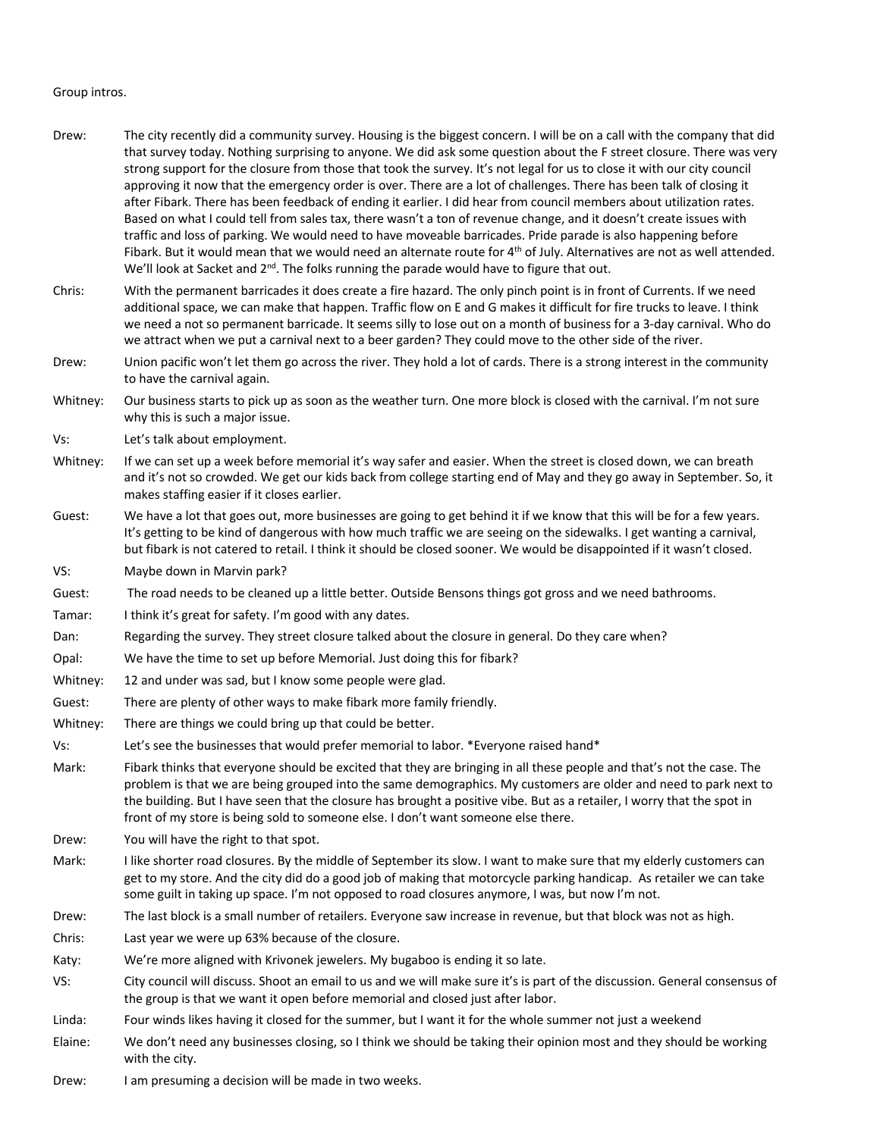## Group intros.

- Drew: The city recently did a community survey. Housing is the biggest concern. I will be on a call with the company that did that survey today. Nothing surprising to anyone. We did ask some question about the F street closure. There was very strong support for the closure from those that took the survey. It's not legal for us to close it with our city council approving it now that the emergency order is over. There are a lot of challenges. There has been talk of closing it after Fibark. There has been feedback of ending it earlier. I did hear from council members about utilization rates. Based on what I could tell from sales tax, there wasn't a ton of revenue change, and it doesn't create issues with traffic and loss of parking. We would need to have moveable barricades. Pride parade is also happening before Fibark. But it would mean that we would need an alternate route for  $4<sup>th</sup>$  of July. Alternatives are not as well attended. We'll look at Sacket and 2<sup>nd</sup>. The folks running the parade would have to figure that out.
- Chris: With the permanent barricades it does create a fire hazard. The only pinch point is in front of Currents. If we need additional space, we can make that happen. Traffic flow on E and G makes it difficult for fire trucks to leave. I think we need a not so permanent barricade. It seems silly to lose out on a month of business for a 3-day carnival. Who do we attract when we put a carnival next to a beer garden? They could move to the other side of the river.
- Drew: Union pacific won't let them go across the river. They hold a lot of cards. There is a strong interest in the community to have the carnival again.
- Whitney: Our business starts to pick up as soon as the weather turn. One more block is closed with the carnival. I'm not sure why this is such a major issue.
- Vs: Let's talk about employment.
- Whitney: If we can set up a week before memorial it's way safer and easier. When the street is closed down, we can breath and it's not so crowded. We get our kids back from college starting end of May and they go away in September. So, it makes staffing easier if it closes earlier.
- Guest: We have a lot that goes out, more businesses are going to get behind it if we know that this will be for a few years. It's getting to be kind of dangerous with how much traffic we are seeing on the sidewalks. I get wanting a carnival, but fibark is not catered to retail. I think it should be closed sooner. We would be disappointed if it wasn't closed.

VS: Maybe down in Marvin park?

- Guest: The road needs to be cleaned up a little better. Outside Bensons things got gross and we need bathrooms.
- Tamar: I think it's great for safety. I'm good with any dates.
- Dan: Regarding the survey. They street closure talked about the closure in general. Do they care when?
- Opal: We have the time to set up before Memorial. Just doing this for fibark?
- Whitney: 12 and under was sad, but I know some people were glad.
- Guest: There are plenty of other ways to make fibark more family friendly.
- Whitney: There are things we could bring up that could be better.
- Vs: Let's see the businesses that would prefer memorial to labor. \*Everyone raised hand\*
- Mark: Fibark thinks that everyone should be excited that they are bringing in all these people and that's not the case. The problem is that we are being grouped into the same demographics. My customers are older and need to park next to the building. But I have seen that the closure has brought a positive vibe. But as a retailer, I worry that the spot in front of my store is being sold to someone else. I don't want someone else there.
- Drew: You will have the right to that spot.
- Mark: I like shorter road closures. By the middle of September its slow. I want to make sure that my elderly customers can get to my store. And the city did do a good job of making that motorcycle parking handicap. As retailer we can take some guilt in taking up space. I'm not opposed to road closures anymore, I was, but now I'm not.
- Drew: The last block is a small number of retailers. Everyone saw increase in revenue, but that block was not as high.
- Chris: Last year we were up 63% because of the closure.
- Katy: We're more aligned with Krivonek jewelers. My bugaboo is ending it so late.
- VS: City council will discuss. Shoot an email to us and we will make sure it's is part of the discussion. General consensus of the group is that we want it open before memorial and closed just after labor.
- Linda: Four winds likes having it closed for the summer, but I want it for the whole summer not just a weekend
- Elaine: We don't need any businesses closing, so I think we should be taking their opinion most and they should be working with the city.
- Drew: I am presuming a decision will be made in two weeks.